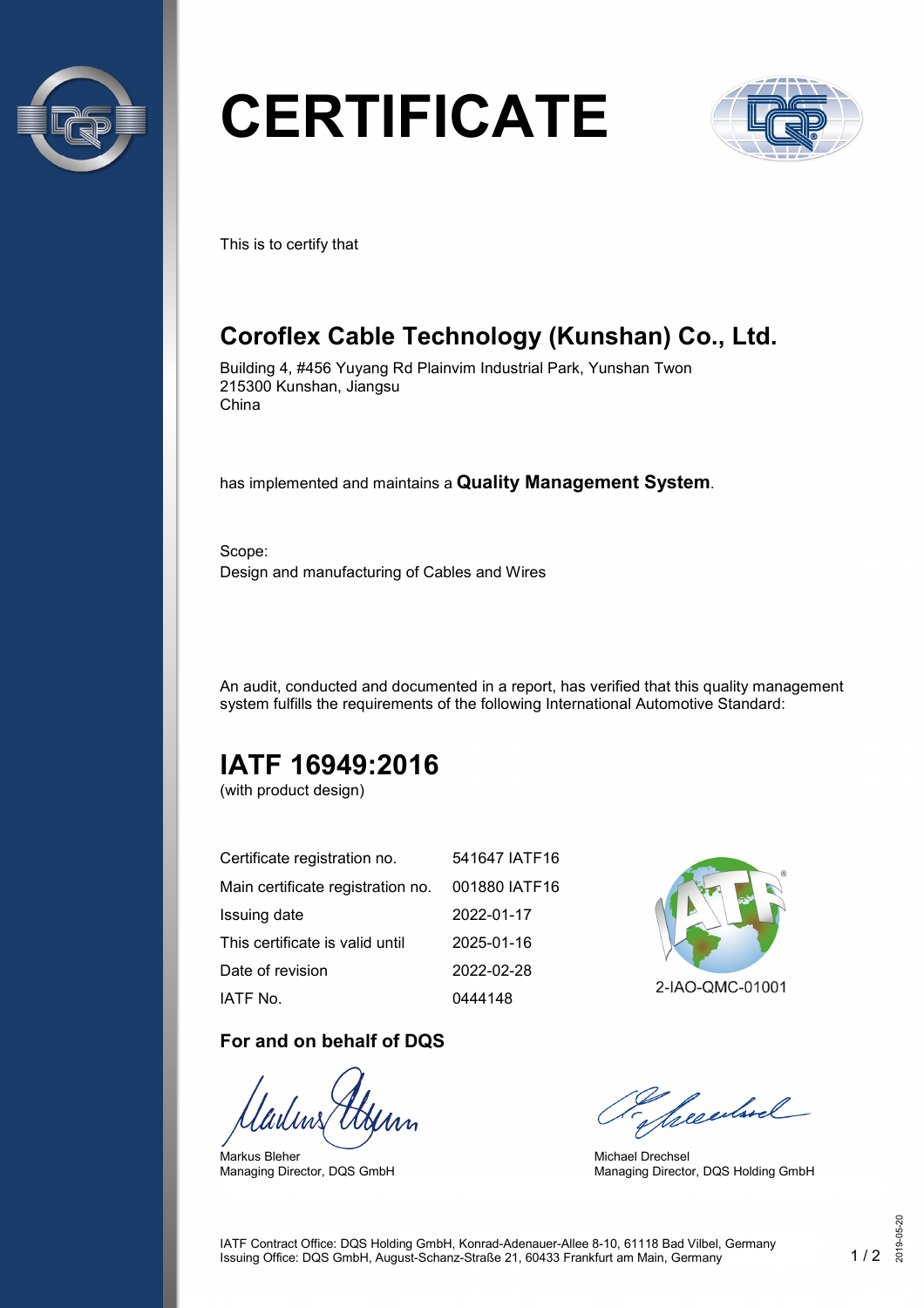

# **CERTIFICATE**



This is to certify that

# **Coroflex Cable Technology (Kunshan) Co., Ltd.**

Building 4, #456 Yuyang Rd Plainvim Industrial Park, Yunshan Twon 215300 Kunshan, Jiangsu China

has implemented and maintains a **Quality Management System**.

Scope: Design and manufacturing of Cables and Wires

An audit, conducted and documented in a report, has verified that this quality management system fulfills the requirements of the following International Automotive Standard:

# **IATF 16949:2016**

(with product design)

| Certificate registration no.      | 541647 IATF16 |
|-----------------------------------|---------------|
| Main certificate registration no. | 001880 IATF16 |
| Issuing date                      | 2022-01-17    |
| This certificate is valid until   | 2025-01-16    |
| Date of revision                  | 2022-02-28    |
| IATF No.                          | 0444148       |

#### **For and on behalf of DQS**

Markus Bleher Managing Director, DQS GmbH



2-IAO-QMC-01001

Seculard

Michael Drechsel Managing Director, DQS Holding GmbH

IATF Contract Office: DQS Holding GmbH, Konrad-Adenauer-Allee 8-10, 61118 Bad Vilbel, Germany Issuing Office: DQS GmbH, August-Schanz-Straße 21, 60433 Frankfurt am Main, Germany 1 / 2